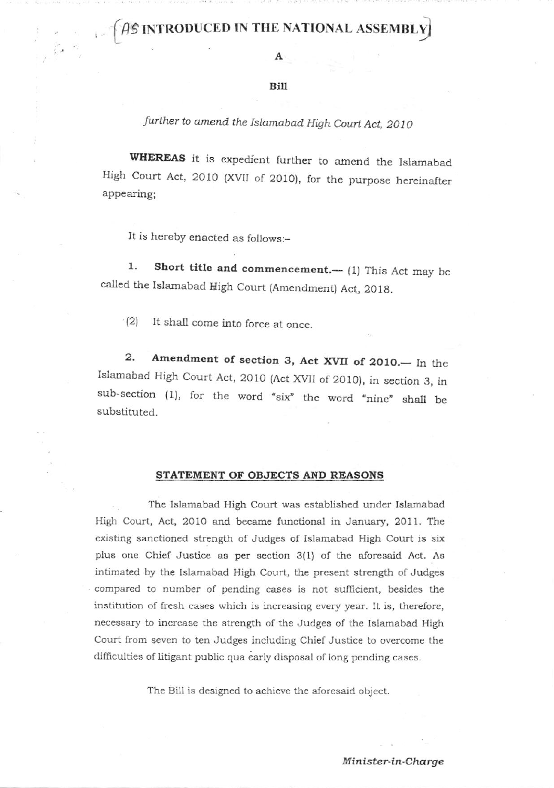## $\bigcap_{i=1}^n \bigcap_{i=1}^n B$  introduced in the national assembly

## Bill

further to amend the Islamabad High Court Act, 2010

WHEREAS it is expedient further to amend the Islamabad High Court Act, 2O1O (XVII of 2O1O), for the purpose hereinafter appearing;

It is hereby enacted as follows:-

1. Short title and commencement.—  $(1)$  This Act may be called the Islarnabad High Court (Amcndment) Act, 2018.

(2) It shall come into force at once.

2. Amendment of section 3, Act XVII of 2010.— In the Islamabad High Court Act, 2010 (Act XVII of 2010), in section 3, in sub-section (1), for the word "six" the word "nine" shall be substituted.

## STATEMENT OF OBJECTS AND REASONS

The Islamabad High Court was established under Islarnabad High Court, Act, 2010 and became functional in January, 2011. The cxisting sanctioned strength of Judges of Islamabad High Court is six plus one Chief Justice as per section 3(1) of thc aforesaid Act. As intimated by the Islamabad High Court, the present strength of Judges compared to number of pending cases is not sufficient, besides the institution of fresh cascs which is increasing every year. It is, thereforc, necessary to incrcase the strength of the Judges of the Islamabad High Court from seven to ten Judges including Chief Justice to overcome the difficulties of litigant public qua early disposal of long pending cases.

The Bill is designed to achieve the aforesaid object.

Mintster-in-Charge